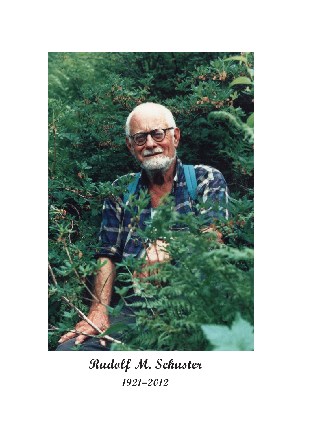

Rudolf M. Schuster 1921–2012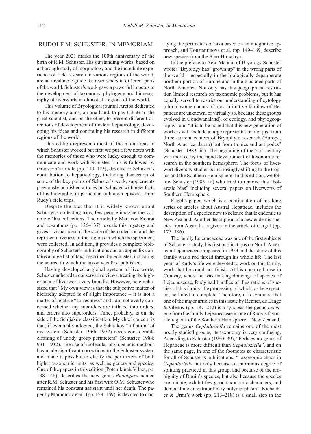## RUDOLF M. SCHUSTER, IN MEMORIAM

The year 2021 marks the 100th anniversary of the birth of R.M. Schuster. His outstanding works, based on a thorough study of morphology and the incredible experience of field research in various regions of the world, are an invaluable guide for researchers in different parts of the world. Schuster's work gave a powerful impetus to the development of taxonomy, phylogeny and biogeography of liverworts in almost all regions of the world.

This volume of Bryological journal Arctoa dedicated to his memory aims, on one hand, to pay tribute to the great scientist, and on the other, to present different directions of development of modern hepaticology, developing his ideas and continuing his research in different regions of the world.

This edition represents most of the main areas in which Schuster worked but first we put a few notes with the memories of those who were lucky enough to communicate and work with Schuster. This is followed by Gradstein's article (pp. 119–125), devoted to Schuster's contribution to hepaticology, including discussion of some of the key points of Schuster's work, supplements previously published articles on Schuster with new facts of his biography, in particular, unknown episodes from Rudy's field trips.

Despite the fact that it is widely known about Schuster's collecting trips, few people imagine the volume of his collections. The article by Matt von Konrat and co-authors (pp. 126–137) reveals this mystery and gives a visual idea of the scale of the collection and the representativeness of the regions in which the specimens were collected. In addition, it provides a complete bibliography of Schuster's publications and an appendix contains a huge list of taxa described by Schuster, indicating the source in which the taxon was first published.

Having developed a global system of liverworts, Schuster adhered to conservative views, treating the higher taxa of liverworts very broadly. However, he emphasized that "My own view is that the subjective matter of hierarchy adopted is of slight importance – it is not a matter of relative "correctness" and I am not overly concerned whether my suborders are inflated into orders, and orders into superorders. Time, probably, is on the side of the Schljakov classification. My chief concern is that, if eventually adopted, the Schljakov "inflation" of my system (Schuster, 1966, 1972) needs considerable cleaning of untidy group perimeters" (Schuster, 1984: 931 – 932). The use of molecular phylogenetic methods has made significant corrections to the Schuster system and made it possible to clarify the perimeters of both higher taxonomic units, as well as genera and species. One of the papers in this edition (Potemkin & Vilnet, pp. 138–148), describes the new genus Rudolgaea named after R.M. Schuster and his first wife O.M. Schuster who remained his constant assistant until her death. The paper by Mamontov et al. (pp. 159–169), is devoted to clarifying the perimeters of taxa based on an integrative approach, and Konstantinova et al. (pp. 149–169) describe new species from the Sino-Himalaya.

In the preface to New Manual of Bryology Schuster wrote: "Bryology has "grown up" in the wrong parts of the world – especially in the biologically depauperate northern portion of Europe and in the glaciated parts of North America. Not only has this geographical restriction limited research on taxonomic problems, but it has equally served to restrict our understanding of cytology (chromosome counts of most primitive families of Hepaticae are unknown, or virtually so, because these groups evolved in Gondwanaland), of ecology, and phytogeography" and "It is to be hoped that this new generation of workers will include a large representation not just from three current centers of Bryophyte research (Europe, North America, Japan) but from tropics and antipodes" (Schuster, 1983: iii). The beginning of the 21st century was marked by the rapid development of taxonomic research in the southern hemisphere. The focus of liverwort diversity studies is increasingly shifting to the tropics and the Southern Hemisphere. In this edition, we follow Schuster (1983: iii) who tried to remove this "holarctic bias" including several papers on liverworts of Southern Hemisphere.

Engel's paper, which is a continuation of his long series of articles about Austral Hepaticae, includes the description of a species new to science that is endemic to New Zealand. Another description of a new endemic species from Australia is given in the article of Cargill (pp. 175–186).

The family Lejeuneaceae was one of the first subjects of Schuster's study, his first publications on North American Lejeuneaceae appeared in 1954 and the study of this family was a red thread through his whole life. The last years of Rudy's life were devoted to work on this family, work that he could not finish. At his country house in Conway, where he was making drawings of species of Lejeuneaceae, Rudy had bundles of illustrations of species of this family, the processing of which, as he expected, he failed to complete. Therefore, it is symbolic that one of the major articles in this issue by Renner, de Lange & Glenny (pp.  $187-212$ ) is a synopsis the genus *Lejeu*nea from the family Lejeuneaceae in one of Rudy's favourite regions of the Southern Hemisphere – New Zealand.

The genus Cephaloziella remains one of the most poorly studied groups, its taxonomy is very confusing. According to Schuster (1980: 39), "Perhaps no genus of Hepaticae is more difficult than Cephaloziella", and on the same page, in one of the footnotes so characteristic for all of Schuster's publications, "Taxonomic chaos in Cephaloziella not only because of enormous degree of splitting practiced in this group, and because of the ambiguity of Douin's species, but also because the species are minute, exhibit few good taxonomic characters, and demonstrate an extraordinary polymorphism". Kiebacher & Urmi's work (pp. 213–218) is a small step in the